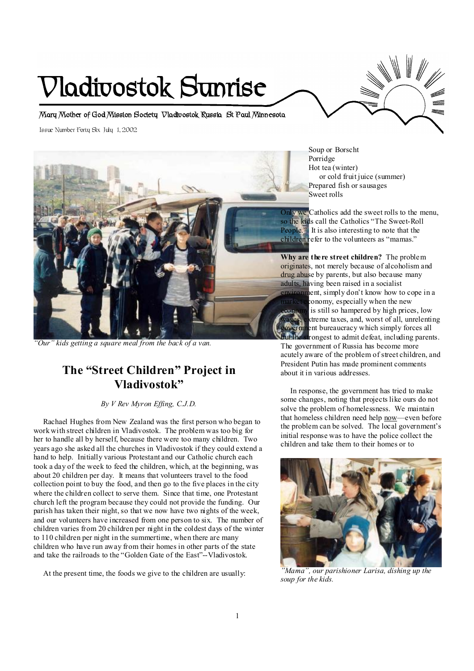# **Vladivostok Sunrise**

**Mary Mother of God Mission Society Vladivostok Russia St Paul Minnesota** 

Issue Number Forty Six July 1, 2002



*"Our" kids getting a square meal from the back of a van.* 

## **The "Street Children" Project in Vladivostok"**

#### *By V Rev Myron Effing, C.J.D.*

 Rachael Hughes from New Zealand was the first person who began to work with street children in Vladivostok. The problem was too big for her to handle all by herself, because there were too many children. Two years ago she asked all the churches in Vladivostok if they could extend a hand to help. Initially various Protestant and our Catholic church each took a day of the week to feed the children, which, at the beginning, was about 20 children per day. It means that volunteers travel to the food collection point to buy the food, and then go to the five places in the city where the children collect to serve them. Since that time, one Protestant church left the program because they could not provide the funding. Our parish has taken their night, so that we now have two nights of the week, and our volunteers have increased from one person to six. The number of children varies from 20 children per night in the coldest days of the winter to 110 children per night in the summertime, when there are many children who have run away from their homes in other parts of the state and take the railroads to the "Golden Gate of the East"--Vladivostok.

At the present time, the foods we give to the children are usually:

Soup or Borscht Porridge Hot tea (winter) or cold fruit juice (summer) Prepared fish or sausages Sweet rolls

Only we Catholics add the sweet rolls to the menu, so the kids call the Catholics "The Sweet-Roll People." It is also interesting to note that the children refer to the volunteers as "mamas."

**Why are there street children?** The problem originates, not merely because of alcoholism and drug abuse by parents, but also because many adults, having been raised in a socialist nent, simply don't know how to cope in a conomy, especially when the new economy is still so hampered by high prices, low extreme taxes, and, worst of all, unrelenting in the product act which simply forces all

trongest to admit defeat, including parents. The government of Russia has become more acutely aware of the problem of street children, and President Putin has made prominent comments about it in various addresses.

 In response, the government has tried to make some changes, noting that projects like ours do not solve the problem of homelessness. We maintain that homeless children need help now-even before the problem can be solved. The local government's initial response was to have the police collect the children and take them to their homes or to



*"Mama", our parishioner Larisa, dishing up the soup for the kids.*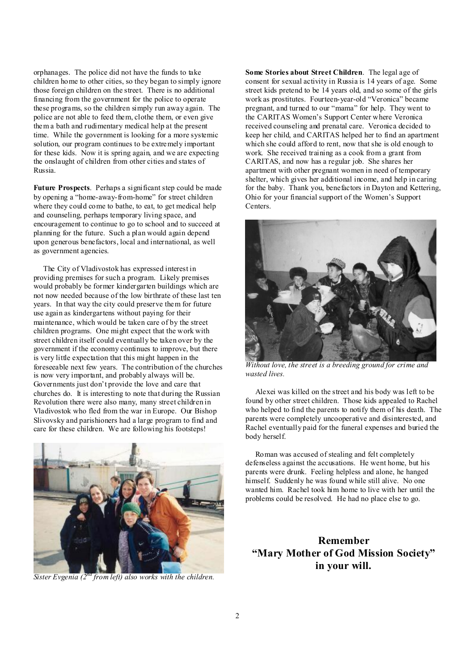orphanages. The police did not have the funds to take children home to other cities, so they began to simply ignore those foreign children on the street. There is no additional financing from the government for the police to operate these programs, so the children simply run away again. The police are not able to feed them, clothe them, or even give them a bath and rudimentary medical help at the present time. While the government is looking for a more systemic solution, our program continues to be extremely important for these kids. Now it is spring again, and we are expecting the onslaught of children from other cities and states of Russia.

**Future Prospects**. Perhaps a significant step could be made by opening a "home-away-from-home" for street children where they could come to bathe, to eat, to get medical help and counseling, perhaps temporary living space, and encouragement to continue to go to school and to succeed at planning for the future. Such a plan would again depend upon generous benefactors, local and international, as well as government agencies.

 The City of Vladivostok has expressed interest in providing premises for such a program. Likely premises would probably be former kindergarten buildings which are not now needed because of the low birthrate of these last ten years. In that way the city could preserve them for future use again as kindergartens without paying for their maintenance, which would be taken care of by the street children programs. One might expect that the work with street children itself could eventually be taken over by the government if the economy continues to improve, but there is very little expectation that this might happen in the foreseeable next few years. The contribution of the churches is now very important, and probably always will be. Governments just don't provide the love and care that churches do. It is interesting to note that during the Russian Revolution there were also many, many street children in Vladivostok who fled from the war in Europe. Our Bishop Slivovsky and parishioners had a large program to find and care for these children. We are following his footsteps!



*Sister Evgenia (2nd from left) also works with the children.* 

**Some Stories about Street Children**. The legal age of consent for sexual activity in Russia is 14 years of age. Some street kids pretend to be 14 years old, and so some of the girls work as prostitutes. Fourteen-year-old "Veronica" became pregnant, and turned to our "mama" for help. They went to the CARITAS Women's Support Center where Veronica received counseling and prenatal care. Veronica decided to keep her child, and CARITAS helped her to find an apartment which she could afford to rent, now that she is old enough to work. She received training as a cook from a grant from CARITAS, and now has a regular job. She shares her apartment with other pregnant women in need of temporary shelter, which gives her additional income, and help in caring for the baby. Thank you, benefactors in Dayton and Kettering, Ohio for your financial support of the Women's Support **Centers**.



*Without love, the street is a breeding ground for crime and wasted lives.* 

 Alexei was killed on the street and his body was left to be found by other street children. Those kids appealed to Rachel who helped to find the parents to notify them of his death. The parents were completely uncooperative and disinterested, and Rachel eventually paid for the funeral expenses and buried the body herself.

 Roman was accused of stealing and felt completely defenseless against the accusations. He went home, but his parents were drunk. Feeling helpless and alone, he hanged himself. Suddenly he was found while still alive. No one wanted him. Rachel took him home to live with her until the problems could be resolved. He had no place else to go.

### **Remember "Mary Mother of God Mission Society" in your will.**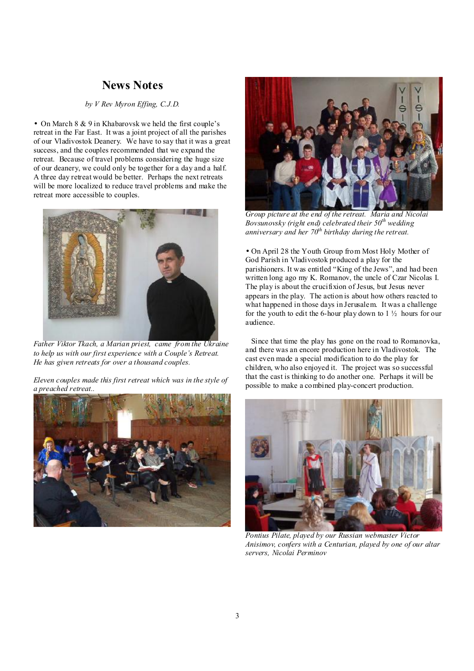## **News Notes**

#### *by V Rev Myron Effing, C.J.D.*

• On March 8 & 9 in Khabarovsk we held the first couple's retreat in the Far East. It was a joint project of all the parishes of our Vladivostok Deanery. We have to say that it was a great success, and the couples recommended that we expand the retreat. Because of travel problems considering the huge size of our deanery, we could only be together for a day and a half. A three day retreat would be better. Perhaps the next retreats will be more localized to reduce travel problems and make the retreat more accessible to couples.



 *Father Viktor Tkach, a Marian priest, came from the Ukraine to help us with our first experience with a Couple's Retreat. He has given retreats for over a thousand couples.* 

*Eleven couples made this first retreat which was in the style of a preached retreat..* 





*Group picture at the end of the retreat. Maria and Nicolai Bovsunovsky (right end) celebrated their 50th wedding anniversary and her 70th birthday during the retreat.* 

• On April 28 the Youth Group from Most Holy Mother of God Parish in Vladivostok produced a play for the parishioners. It was entitled "King of the Jews", and had been written long ago my K. Romanov, the uncle of Czar Nicolas I. The play is about the crucifixion of Jesus, but Jesus never appears in the play. The action is about how others reacted to what happened in those days in Jerusalem. It was a challenge for the youth to edit the 6-hour play down to  $1\frac{1}{2}$  hours for our audience.

 Since that time the play has gone on the road to Romanovka, and there was an encore production here in Vladivostok. The cast even made a special modification to do the play for children, who also enjoyed it. The project was so successful that the cast is thinking to do another one. Perhaps it will be possible to make a combined play-concert production.



*Pontius Pilate, played by our Russian webmaster Victor Anisimov, confers with a Centurian, played by one of our altar servers, Nicolai Perminov*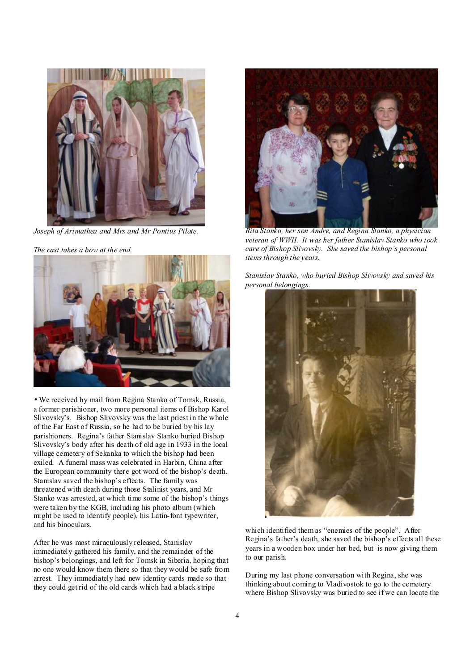

*Joseph of Arimathea and Mrs and Mr Pontius Pilate.* 

*The cast takes a bow at the end.* 



• We received by mail from Regina Stanko of Tomsk, Russia, a former parishioner, two more personal items of Bishop Karol Slivovsky's. Bishop Slivovsky was the last priest in the whole of the Far East of Russia, so he had to be buried by his lay parishioners. Regina's father Stanislav Stanko buried Bishop Slivovsky's body after his death of old age in 1933 in the local village cemetery of Sekanka to which the bishop had been exiled. A funeral mass was celebrated in Harbin, China after the European community there got word of the bishop's death. Stanislav saved the bishop's effects. The family was threatened with death during those Stalinist years, and Mr Stanko was arrested, at which time some of the bishop's things were taken by the KGB, including his photo album (which might be used to identify people), his Latin-font typewriter, and his binoculars.

After he was most miraculously released, Stanislav immediately gathered his family, and the remainder of the bishop's belongings, and left for Tomsk in Siberia, hoping that no one would know them there so that they would be safe from arrest. They immediately had new identity cards made so that they could get rid of the old cards which had a black stripe



*Rita Stanko, her son Andre, and Regina Stanko, a physician veteran of WWII. It was her father Stanislav Stanko who took care of Bishop Slivovsky. She saved the bishop's personal items through the years.* 

*Stanislav Stanko, who buried Bishop Slivovsky and saved his personal belongings.* 



which identified them as "enemies of the people". After Regina's father's death, she saved the bishop's effects all these years in a wooden box under her bed, but is now giving them to our parish.

During my last phone conversation with Regina, she was thinking about coming to Vladivostok to go to the cemetery where Bishop Slivovsky was buried to see if we can locate the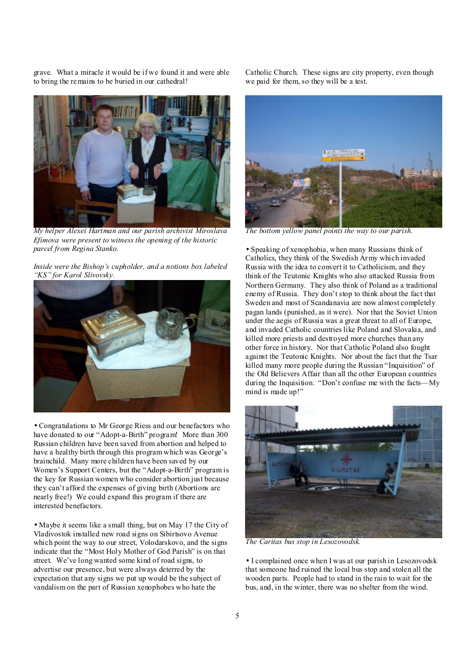grave. What a miracle it would be if we found it and were able to bring the remains to be buried in our cathedral!



*My helper Alexei Hartman and our parish archivist Miroslava Efimova were present to witness the opening of the historic parcel from Regina Stanko.* 

*Inside were the Bishop's cupholder, and a notions box labeled "KS" for Karol Slivovsky.* 



• Congratulations to Mr George Riess and our benefactors who have donated to our "Adopt-a-Birth" program! More than 300 Russian children have been saved from abortion and helped to have a healthy birth through this program which was George's brainchild. Many more children have been saved by our Women's Support Centers, but the "Adopt-a-Birth" program is the key for Russian women who consider abortion just because they can't afford the expenses of giving birth (Abortions are nearly free!) We could expand this program if there are interested benefactors.

• Maybe it seems like a small thing, but on May 17 the City of Vladivostok installed new road signs on Sibirtsovo Avenue which point the way to our street, Volodarskovo, and the signs indicate that the "Most Holy Mother of God Parish" is on that street. We've long wanted some kind of road signs, to advertise our presence, but were always deterred by the expectation that any signs we put up would be the subject of vandalism on the part of Russian xenophobes who hate the

Catholic Church. These signs are city property, even though we paid for them, so they will be a test.



*The bottom yellow panel points the way to our parish.* 

• Speaking of xenophobia, when many Russians think of Catholics, they think of the Swedish Army which invaded Russia with the idea to convert it to Catholicism, and they think of the Teutonic Knights who also attacked Russia from Northern Germany. They also think of Poland as a traditional enemy of Russia. They don't stop to think about the fact that Sweden and most of Scandanavia are now almost completely pagan lands (punished, as it were). Nor that the Soviet Union under the aegis of Russia was a great threat to all of Europe, and invaded Catholic countries like Poland and Slovakia, and killed more priests and destroyed more churches than any other force in history. Nor that Catholic Poland also fought against the Teutonic Knights. Nor about the fact that the Tsar killed many more people during the Russian "Inquisition" of the Old Believers Affair than all the other European countries during the Inquisition. "Don't confuse me with the facts—My mind is made up!"



*The Caritas bus stop in Lesozovodsk.* 

• I complained once when I was at our parish in Lesozovodsk that someone had ruined the local bus stop and stolen all the wooden parts. People had to stand in the rain to wait for the bus, and, in the winter, there was no shelter from the wind.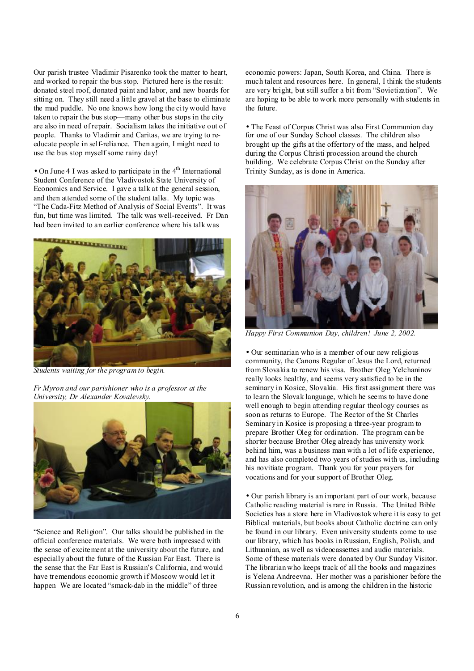Our parish trustee Vladimir Pisarenko took the matter to heart, and worked to repair the bus stop. Pictured here is the result: donated steel roof, donated paint and labor, and new boards for sitting on. They still need a little gravel at the base to eliminate the mud puddle. No one knows how long the city would have taken to repair the bus stop—many other bus stops in the city are also in need of repair. Socialism takes the initiative out of people. Thanks to Vladimir and Caritas, we are trying to reeducate people in self-reliance. Then again, I might need to use the bus stop myself some rainy day!

• On June 4 I was asked to participate in the  $4<sup>th</sup>$  International Student Conference of the Vladivostok State University of Economics and Service. I gave a talk at the general session, and then attended some of the student talks. My topic was "The Cada-Fitz Method of Analysis of Social Events". It was fun, but time was limited. The talk was well-received. Fr Dan had been invited to an earlier conference where his talk was



*Students waiting for the program to begin.* 

*Fr Myron and our parishioner who is a professor at the University, Dr Alexander Kovalevsky.* 



"Science and Religion". Our talks should be published in the official conference materials. We were both impressed with the sense of excitement at the university about the future, and especially about the future of the Russian Far East. There is the sense that the Far East is Russian's California, and would have tremendous economic growth if Moscow would let it happen We are located "smack-dab in the middle" of three

economic powers: Japan, South Korea, and China. There is much talent and resources here. In general, I think the students are very bright, but still suffer a bit from "Sovietization". We are hoping to be able to work more personally with students in the future.

• The Feast of Corpus Christ was also First Communion day for one of our Sunday School classes. The children also brought up the gifts at the offertory of the mass, and helped during the Corpus Christi procession around the church building. We celebrate Corpus Christ on the Sunday after Trinity Sunday, as is done in America.



*Happy First Communion Day, children! June 2, 2002.*

• Our seminarian who is a member of our new religious community, the Canons Regular of Jesus the Lord, returned from Slovakia to renew his visa. Brother Oleg Yelchaninov really looks healthy, and seems very satisfied to be in the seminary in Kosice, Slovakia. His first assignment there was to learn the Slovak language, which he seems to have done well enough to begin attending regular theology courses as soon as returns to Europe. The Rector of the St Charles Seminary in Kosice is proposing a three-year program to prepare Brother Oleg for ordination. The program can be shorter because Brother Oleg already has university work behind him, was a business man with a lot of life experience, and has also completed two years ofstudies with us, including his novitiate program. Thank you for your prayers for vocations and for your support of Brother Oleg.

• Our parish library is an important part of our work, because Catholic reading material is rare in Russia. The United Bible Societies has a store here in Vladivostok where it is easy to get Biblical materials, but books about Catholic doctrine can only be found in our library. Even university students come to use our library, which has books in Russian, English, Polish, and Lithuanian, as well as videocassettes and audio materials. Some of these materials were donated by Our Sunday Visitor. The librarian who keeps track of all the books and magazines is Yelena Andreevna. Her mother was a parishioner before the Russian revolution, and is among the children in the historic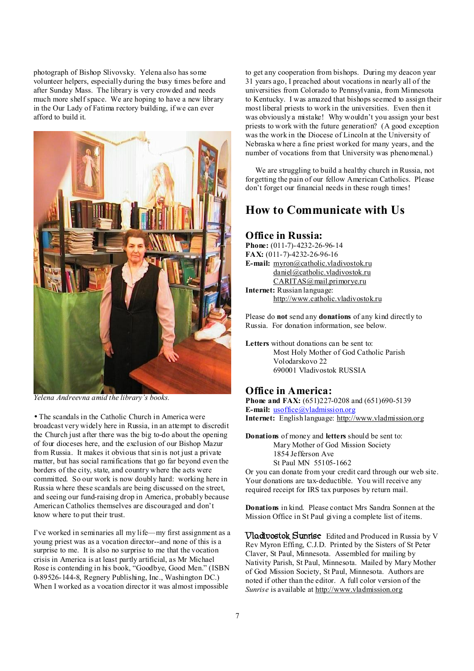photograph of Bishop Slivovsky. Yelena also has some volunteer helpers, especially during the busy times before and after Sunday Mass. The library is very crowded and needs much more shelf space. We are hoping to have a new library in the Our Lady of Fatima rectory building, if we can ever afford to build it.



*Yelena Andreevna amid the library's books.*

• The scandals in the Catholic Church in America were broadcast very widely here in Russia, in an attempt to discredit the Church just after there was the big to-do about the opening of four dioceses here, and the exclusion of our Bishop Mazur from Russia. It makes it obvious that sin is not just a private matter, but has social ramifications that go far beyond even the borders of the city, state, and country where the acts were committed. So our work is now doubly hard: working here in Russia where these scandals are being discussed on the street, and seeing our fund-raising drop in America, probably because American Catholics themselves are discouraged and don't know where to put their trust.

I've worked in seminaries all my life—my first assignment as a young priest was as a vocation director--and none of this is a surprise to me. It is also no surprise to me that the vocation crisis in America is at least partly artificial, as Mr Michael Rose is contending in his book, "Goodbye, Good Men." (ISBN 0-89526-144-8, Regnery Publishing, Inc., Washington DC.) When I worked as a vocation director it was almost impossible

to get any cooperation from bishops. During my deacon year 31 years ago, I preached about vocations in nearly all of the universities from Colorado to Pennsylvania, from Minnesota to Kentucky. I was amazed that bishops seemed to assign their most liberal priests to work in the universities. Even then it was obviously a mistake! Why wouldn't you assign your best priests to work with the future generation? (A good exception was the work in the Diocese of Lincoln at the University of Nebraska where a fine priest worked for many years, and the number of vocations from that University was phenomenal.)

We are struggling to build a healthy church in Russia, not forgetting the pain of our fellow American Catholics. Please don't forget our financial needs in these rough times!

## **How to Communicate with Us**

#### **Office in Russia:**

**Phone:** (011-7)-4232-26-96-14 **FAX:** (011-7)-4232-26-96-16 **E-mail:** [myron@catholic.vladivostok.ru](mailto:myron@catholic.vladivostok.ru) [daniel@catholic.vladivostok.ru](mailto:daniel@catholic.vladivostok.ru) [CARITAS@mail.primorye.ru](mailto:CARITAS@mail.primorye.ru) **Internet:** Russian language: <http://www.catholic.vladivostok.ru>

Please do **not** send any **donations** of any kind directly to Russia. For donation information, see below.

**Letters** without donations can be sent to: Most Holy Mother of God Catholic Parish Volodarskovo 22 690001 Vladivostok RUSSIA

#### **Office in America:**

**Phone and FAX:** (651)227-0208 and (651)690-5139 **E-mail:** [usoffice@vladmission.org](mailto:usoffice@vladmission.org) **Internet:** English language: <http://www.vladmission.org>

**Donations** of money and **letters** should be sent to: Mary Mother of God Mission Society 1854 Jefferson Ave St Paul MN 55105-1662 Or you can donate from your credit card through our web site. Your donations are tax-deductible. You will receive any

required receipt for IRS tax purposes by return mail.

**Donations** in kind. Please contact Mrs Sandra Sonnen at the Mission Office in St Paul giving a complete list of items.

**Vladivostok Sunrise** Edited and Produced in Russia by V Rev Myron Effing, C.J.D. Printed by the Sisters of St Peter Claver, St Paul, Minnesota. Assembled for mailing by Nativity Parish, St Paul, Minnesota. Mailed by Mary Mother of God Mission Society, St Paul, Minnesota. Authors are noted if other than the editor. A full color version of the *Sunrise* is available at <http://www.vladmission.org>